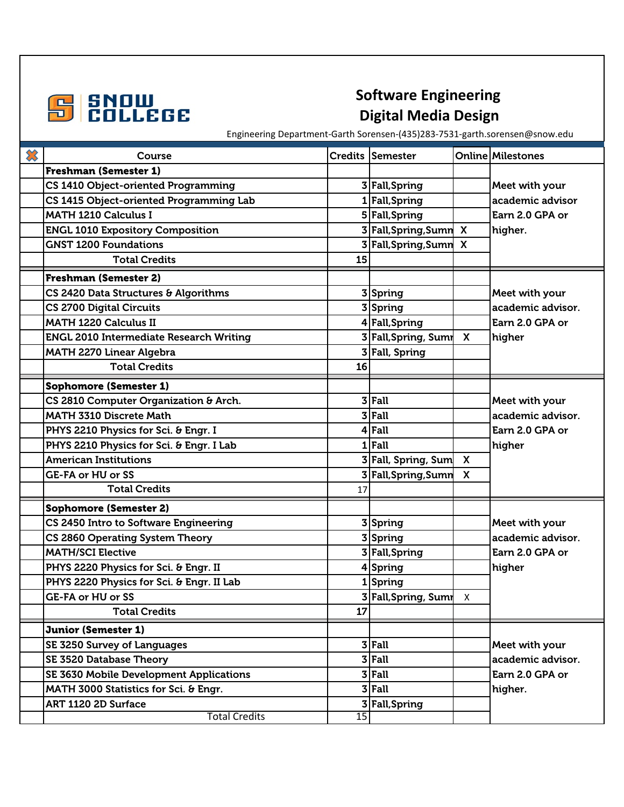

## **Digital Media Design**

Engineering Department-Garth Sorensen-(435)283-7531-garth.sorensen@snow.edu

| ╳ | Course                                         |    | Credits Semester       |                           | <b>Online Milestones</b> |
|---|------------------------------------------------|----|------------------------|---------------------------|--------------------------|
|   | <b>Freshman (Semester 1)</b>                   |    |                        |                           |                          |
|   | CS 1410 Object-oriented Programming            |    | 3 Fall, Spring         |                           | Meet with your           |
|   | CS 1415 Object-oriented Programming Lab        |    | 1 Fall, Spring         |                           | academic advisor         |
|   | <b>MATH 1210 Calculus I</b>                    |    | 5 Fall, Spring         |                           | Earn 2.0 GPA or          |
|   | <b>ENGL 1010 Expository Composition</b>        |    | 3 Fall, Spring, Sumn   | $\boldsymbol{\mathsf{x}}$ | higher.                  |
|   | <b>GNST 1200 Foundations</b>                   |    | 3 Fall, Spring, Sumn   | $\mathbf{x}$              |                          |
|   | <b>Total Credits</b>                           | 15 |                        |                           |                          |
|   | <b>Freshman (Semester 2)</b>                   |    |                        |                           |                          |
|   | CS 2420 Data Structures & Algorithms           |    | 3 Spring               |                           | Meet with your           |
|   | <b>CS 2700 Digital Circuits</b>                |    | 3 Spring               |                           | academic advisor.        |
|   | <b>MATH 1220 Calculus II</b>                   |    | 4 Fall, Spring         |                           | Earn 2.0 GPA or          |
|   | <b>ENGL 2010 Intermediate Research Writing</b> |    | 3 Fall, Spring, Sumr X |                           | higher                   |
|   | <b>MATH 2270 Linear Algebra</b>                |    | 3 Fall, Spring         |                           |                          |
|   | <b>Total Credits</b>                           | 16 |                        |                           |                          |
|   | <b>Sophomore (Semester 1)</b>                  |    |                        |                           |                          |
|   | CS 2810 Computer Organization & Arch.          |    | $3$ Fall               |                           | Meet with your           |
|   | <b>MATH 3310 Discrete Math</b>                 |    | $3$ Fall               |                           | academic advisor.        |
|   | PHYS 2210 Physics for Sci. & Engr. I           |    | $4$ Fall               |                           | Earn 2.0 GPA or          |
|   | PHYS 2210 Physics for Sci. & Engr. I Lab       |    | $1$ Fall               |                           | higher                   |
|   | <b>American Institutions</b>                   |    | 3 Fall, Spring, Sum X  |                           |                          |
|   | GE-FA or HU or SS                              |    | 3 Fall, Spring, Sumn X |                           |                          |
|   | <b>Total Credits</b>                           | 17 |                        |                           |                          |
|   | <b>Sophomore (Semester 2)</b>                  |    |                        |                           |                          |
|   | CS 2450 Intro to Software Engineering          |    | 3 Spring               |                           | Meet with your           |
|   | CS 2860 Operating System Theory                |    | 3 Spring               |                           | academic advisor.        |
|   | <b>MATH/SCI Elective</b>                       |    | 3 Fall, Spring         |                           | Earn 2.0 GPA or          |
|   | PHYS 2220 Physics for Sci. & Engr. II          |    | 4 Spring               |                           | higher                   |
|   | PHYS 2220 Physics for Sci. & Engr. II Lab      |    | 1Spring                |                           |                          |
|   | <b>GE-FA or HU or SS</b>                       |    | 3 Fall, Spring, Sumn X |                           |                          |
|   | <b>Total Credits</b>                           | 17 |                        |                           |                          |
|   | <b>Junior (Semester 1)</b>                     |    |                        |                           |                          |
|   | SE 3250 Survey of Languages                    |    | $3$ Fall               |                           | Meet with your           |
|   | <b>SE 3520 Database Theory</b>                 |    | $3$ Fall               |                           | academic advisor.        |
|   | SE 3630 Mobile Development Applications        |    | $3$ Fall               |                           | Earn 2.0 GPA or          |
|   | MATH 3000 Statistics for Sci. & Engr.          |    | $3$ Fall               |                           | higher.                  |
|   | ART 1120 2D Surface                            |    | 3 Fall, Spring         |                           |                          |
|   | <b>Total Credits</b>                           | 15 |                        |                           |                          |